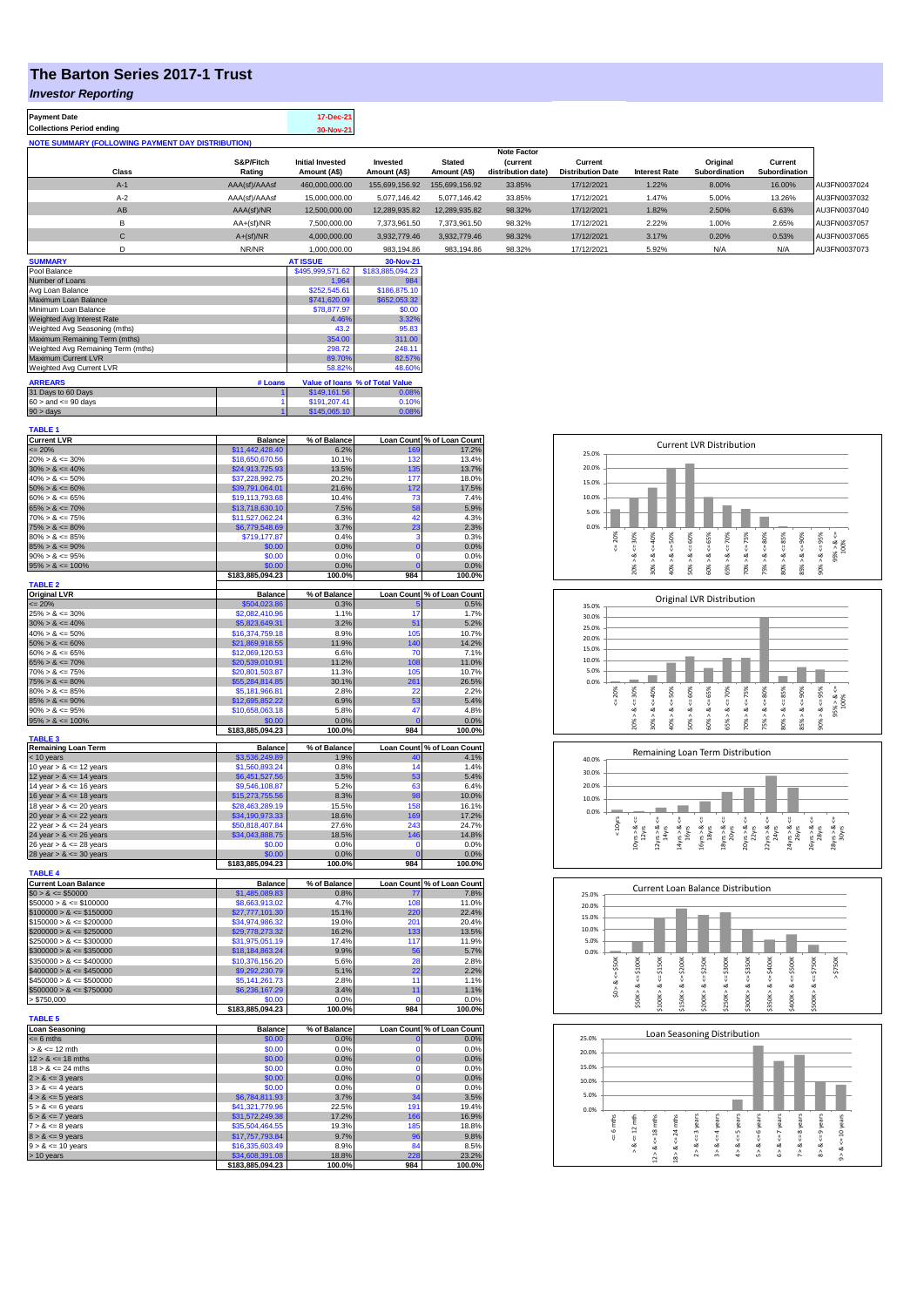## **The Barton Series 2017-1 Trust**

## *Investor Reporting*

| <b>Payment Date</b>                                      | 17-Dec-21 |
|----------------------------------------------------------|-----------|
| <b>Collections Period ending</b>                         | 30-Nov-21 |
| <b>NOTE SUMMARY (FOLLOWING PAYMENT DAY DISTRIBUTION)</b> |           |
|                                                          |           |

|              |               |                         |                |                | <b>Note Factor</b> |                          |                      |                      |               |              |
|--------------|---------------|-------------------------|----------------|----------------|--------------------|--------------------------|----------------------|----------------------|---------------|--------------|
|              | S&P/Fitch     | <b>Initial Invested</b> | Invested       | <b>Stated</b>  | <i>(current</i>    | Current                  |                      | Original             | Current       |              |
| <b>Class</b> | Rating        | Amount (A\$)            | Amount (A\$)   | Amount (A\$)   | distribution date) | <b>Distribution Date</b> | <b>Interest Rate</b> | <b>Subordination</b> | Subordination |              |
| $A-1$        | AAA(sf)/AAAsf | 460,000,000.00          | 155.699.156.92 | 155.699.156.92 | 33.85%             | 17/12/2021               | 1.22%                | 8.00%                | 16.00%        | AU3FN0037024 |
| $A-2$        | AAA(sf)/AAAsf | 15,000,000.00           | 5.077.146.42   | 5.077.146.42   | 33.85%             | 17/12/2021               | 1.47%                | 5.00%                | 13.26%        | AU3FN0037032 |
| AB           | AAA(sf)/NR    | 12.500.000.00           | 12.289.935.82  | 12.289.935.82  | 98.32%             | 17/12/2021               | 1.82%                | 2.50%                | 6.63%         | AU3FN0037040 |
|              | $AA+(sf)/NR$  | 7,500,000.00            | 7.373.961.50   | 7,373,961.50   | 98.32%             | 17/12/2021               | 2.22%                | 1.00%                | 2.65%         | AU3FN0037057 |
| $\mathbf{C}$ | $A+(sf)/NR$   | 4,000,000.00            | 3.932.779.46   | 3.932.779.46   | 98.32%             | 17/12/2021               | 3.17%                | 0.20%                | 0.53%         | AU3FN0037065 |
|              | NR/NR         | 1,000,000.00            | 983,194.86     | 983.194.86     | 98.32%             | 17/12/2021               | 5.92%                | N/A                  | N/A           | AU3FN0037073 |
| -----------  |               | ---------               |                |                |                    |                          |                      |                      |               |              |

| <b>SUMMARY</b>                     |         | <b>AT ISSUE</b>  | 30-Nov-21                       |
|------------------------------------|---------|------------------|---------------------------------|
| Pool Balance                       |         | \$495,999,571.62 | \$183,885,094.23                |
| Number of Loans                    |         | 1.964            | 984                             |
| Avg Loan Balance                   |         | \$252,545.61     | \$186,875.10                    |
| Maximum Loan Balance               |         | \$741,620.09     | \$652,053.32                    |
| Minimum Loan Balance               |         | \$78,877.97      | \$0.00                          |
| Weighted Avg Interest Rate         |         | 4.46%            | 3.32%                           |
| Weighted Avg Seasoning (mths)      |         | 43.2             | 95.83                           |
| Maximum Remaining Term (mths)      |         | 354.00           | 311.00                          |
| Weighted Avg Remaining Term (mths) |         | 298.72           | 248.11                          |
| Maximum Current LVR                |         | 89.70%           | 82.57%                          |
| Weighted Avg Current LVR           |         | 58.82%           | 48.60%                          |
| <b>ARREARS</b>                     | # Loans |                  | Value of Ioans % of Total Value |
| 31 Days to 60 Days                 |         | \$149,161.56     | 0.08%                           |
| $60 >$ and $\leq 90$ days          |         | \$191.207.41     | 0.10%                           |
| $90 >$ days                        |         | \$145,065.10     | 0.08%                           |

| <b>TABLE 1</b>                                           |                                     |                 |                         |                            |
|----------------------------------------------------------|-------------------------------------|-----------------|-------------------------|----------------------------|
| <b>Current LVR</b>                                       | <b>Balance</b>                      | % of Balance    |                         | Loan Count % of Loan Count |
| $= 20%$                                                  | \$11,442,428.40                     | 6.2%<br>10.1%   | 169<br>132              | 17.2%<br>13.4%             |
| $20\% > 8 \le 30\%$<br>$30\% > 8 \le 40\%$               | \$18,650,670.56                     |                 |                         | 13.7%                      |
| $40\% > 8 \le 50\%$                                      | \$24,913,725.93<br>\$37,228,992.75  | 13.5%<br>20.2%  | 135<br>177              | 18.0%                      |
| $50\% > 8 \le 60\%$                                      | \$39,791,064.01                     | 21.6%           | 172                     | 17.5%                      |
| $60\% > 8 \le 65\%$                                      | \$19,113,793.68                     | 10.4%           | 73                      | 7.4%                       |
| $65\% > 8 \le 70\%$                                      | \$13,718,630.10                     | 7.5%            | 58                      | 5.9%                       |
| $70\% > 8 \le 75\%$                                      | \$11,527,062.24                     | 6.3%            | 42                      | 4.3%                       |
| $75\% > 8 \le 80\%$                                      | \$6,779,548.69                      | 3.7%            | 23                      | 2.3%                       |
| $80\% > 8 \le 85\%$                                      | \$719,177.87                        | 0.4%            | 3                       | 0.3%                       |
| $85\% > 8 \le 90\%$                                      | \$0.00                              | 0.0%            | $\overline{0}$          | 0.0%                       |
| $90\% > 8 \le 95\%$                                      | \$0.00                              | 0.0%            | $\Omega$                | 0.0%                       |
| $95\% > 8 \le 100\%$                                     | \$0.00                              | 0.0%            | $\overline{0}$          | 0.0%                       |
|                                                          | \$183,885,094.23                    | 100.0%          | 984                     | 100.0%                     |
| <b>TABLE 2</b><br><b>Original LVR</b>                    | <b>Balance</b>                      | % of Balance    |                         | Loan Count % of Loan Count |
| $= 20%$                                                  | \$504,023.86                        | 0.3%            |                         | 0.5%                       |
| $25\% > 8 \le 30\%$                                      | \$2,082,410.96                      | 1.1%            | 17                      | 1.7%                       |
| $30\% > 8 \le 40\%$                                      | \$5,823,649.31                      | 3.2%            | 51                      | 5.2%                       |
| $40\% > 8 \le 50\%$                                      | \$16,374,759.18                     | 8.9%            | 105                     | 10.7%                      |
| $50\% > 8 \le 60\%$                                      | \$21,869,918.55                     | 11.9%           | 140                     | 14.2%                      |
| $60\% > 8 \le 65\%$                                      | \$12,069,120.53                     | 6.6%            | 70                      | 7.1%                       |
| $65\% > 8 \le 70\%$                                      | \$20,539,010.91                     | 11.2%           | 108                     | 11.0%                      |
| $70\% > 8 \le 75\%$                                      | \$20,801,503.87                     | 11.3%           | 105                     | 10.7%                      |
| $75\% > 8 \le 80\%$                                      | \$55,284,814.85                     | 30.1%           | 261                     | 26.5%                      |
| $80\% > 8 \le 85\%$                                      | \$5,181,966.81                      | 2.8%            | 22                      | 2.2%                       |
| $85\% > 8 \le 90\%$                                      | \$12,695,852.22                     | 6.9%            | 53                      | 5.4%                       |
| $90\% > 8 \le 95\%$                                      | \$10,658,063.18                     | 5.8%            | 47<br>$\Omega$          | 4.8%                       |
| $95\% > 8 \le 100\%$                                     | \$0.00<br>\$183,885,094.23          | 0.0%<br>100.0%  | 984                     | 0.0%<br>100.0%             |
| <b>TABLE 3</b>                                           |                                     |                 |                         |                            |
| Remaining Loan Term                                      | Balance                             | % of Balance    |                         | Loan Count % of Loan Count |
| < 10 years                                               | \$3,536,249.89                      | 1.9%            | 40                      | 4.1%                       |
| 10 year $> 8 \le 12$ years                               | \$1,560,893.24                      | 0.8%            | 14                      | 1.4%                       |
| 12 year $> 8 \le 14$ years                               | \$6,451,527.56                      | 3.5%            | 53                      | 5.4%                       |
| 14 year $> 8 \le 16$ years                               | \$9,546,108.87                      | 5.2%            | 63                      | 6.4%                       |
| 16 year $> 8 \le 18$ years<br>18 year $> 8 \le 20$ years | \$15,273,755.56<br>\$28,463,289.19  | 8.3%<br>15.5%   | 98<br>158               | 10.0%<br>16.1%             |
| 20 year $> 8 \le 22$ years                               | \$34,190,973.33                     | 18.6%           | 169                     | 17.2%                      |
| 22 year > & <= 24 years                                  | \$50,818,407.84                     | 27.6%           | 243                     | 24.7%                      |
| 24 year > & <= 26 years                                  | \$34,043,888.75                     | 18.5%           | 146                     | 14.8%                      |
| 26 year $> 8 \le 28$ years                               | \$0.00                              | 0.0%            | $\Omega$                | 0.0%                       |
| $28$ year > $8 \le 30$ years                             | \$0.00                              | 0.0%            | $\overline{0}$          | 0.0%                       |
|                                                          | \$183,885,094.23                    | 100.0%          | 984                     | 100.0%                     |
| <b>TABLE 4</b>                                           |                                     |                 |                         |                            |
| <b>Current Loan Balance</b>                              | <b>Balance</b>                      | % of Balance    |                         | Loan Count % of Loan Count |
| $$0 > 8 \le $50000$                                      | \$1,485,089.83                      | 0.8%            | 77                      | 7.8%                       |
| $$50000 > 8 \le $100000$                                 | \$8,663,913.02                      | 4.7%            | 108<br>220              | 11.0%<br>22.4%             |
| $$100000 > 8 \le $150000$<br>$$150000 > 8 \le $200000$   | \$27,777,101.30<br>\$34,974,986.32  | 15.1%           |                         |                            |
| $$200000 > 8 \leq $250000$                               |                                     |                 |                         |                            |
| $$250000 > 8 \le $300000$                                |                                     | 19.0%           | 201                     | 20.4%                      |
|                                                          | \$29,778,273.32                     | 16.2%           | 133                     | 13.5%                      |
| $$300000 > 8 \le $350000$                                | \$31,975,051.19<br>\$18,184,863.24  | 17.4%<br>9.9%   | 117<br>56               | 11.9%                      |
| $$350000 > 8 \le $400000$                                | \$10,376,156.20                     | 5.6%            | 28                      | 5.7%<br>2.8%               |
| $$400000 > 8 \leq $450000$                               | \$9,292,230.79                      | 5.1%            | 22                      | 2.2%                       |
| $$450000 > 8 \le $500000$                                | \$5,141,261.73                      | 2.8%            | 11                      | 1.1%                       |
| $$500000 > 8 \le $750000$                                | \$6,236,167.29                      | 3.4%            | 11                      | 1.1%                       |
| > \$750,000                                              | \$0.00                              | 0.0%            | 0                       | 0.0%                       |
|                                                          | \$183,885,094.23                    | 100.0%          | 984                     | 100.0%                     |
| <b>TABLE 5</b>                                           |                                     |                 |                         |                            |
| <b>Loan Seasoning</b>                                    | <b>Balance</b>                      | % of Balance    |                         | Loan Count % of Loan Count |
| $= 6$ mths                                               | \$0.00                              | 0.0%            | $\mathbf 0$<br>$\Omega$ | 0.0%                       |
| $> 8 \le 12$ mth                                         | \$0.00                              | 0.0%            |                         | 0.0%                       |
| $12 > 8 \le 18$ mths                                     | \$0.00                              | 0.0%            | $\bf{0}$<br>$\Omega$    | 0.0%<br>0.0%               |
| $18 > 8 \le 24$ mths<br>$2 > 8 \le 3$ years              | \$0.00<br>\$0.00                    | 0.0%<br>0.0%    | $\mathbf 0$             | 0.0%                       |
| $3 > 8 \le 4$ years                                      | \$0.00                              | 0.0%            | $\mathbf 0$             | 0.0%                       |
| $4 > 8 \le 5$ years                                      | \$6,784,811.93                      | 3.7%            | 34                      | 3.5%                       |
| $5 > 8 \le 6$ years                                      | \$41,321,779.96                     | 22.5%           | 191                     | 19.4%                      |
| $6 > 8 \le 7$ years                                      | \$31,572,249.38                     | 17.2%           | 166                     | 16.9%                      |
| $7 > 8 \le 8$ years                                      | \$35,504,464.55                     | 19.3%           | 185                     | 18.8%                      |
| $8 > 8 \le 9$ years                                      | \$17,757,793.84                     | 9.7%            | 96                      | 9.8%                       |
| $9 > 8 \le 10$ years                                     | \$16,335,603.49                     | 8.9%            | 84                      | 8.5%                       |
| > 10 years                                               | \$34,608,391.08<br>\$183,885,094.23 | 18.8%<br>100.0% | 228<br>984              | 23.2%<br>100.0%            |









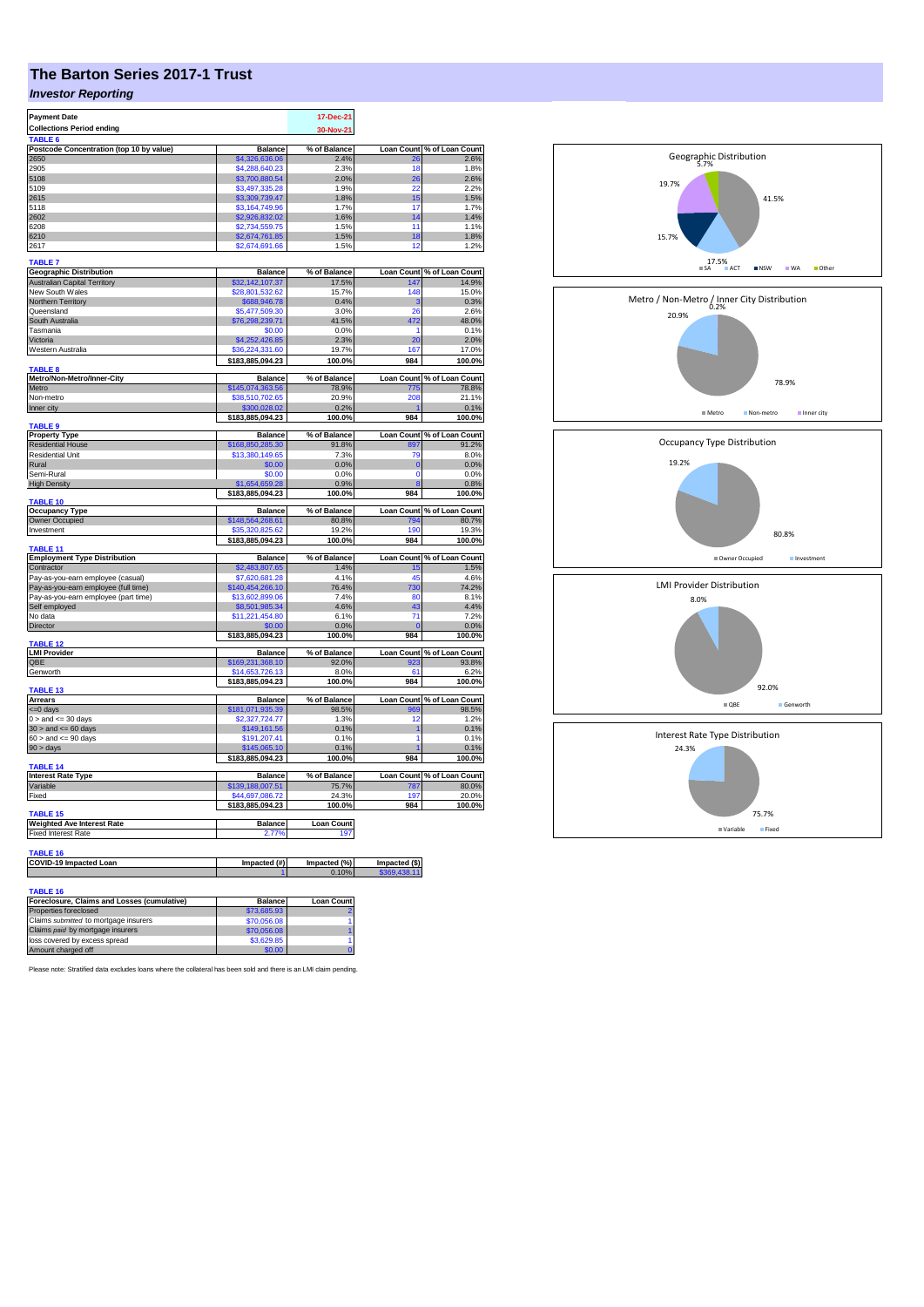# **The Barton Series 2017-1 Trust**

## *Investor Reporting*

| <b>Payment Date</b>                                           |                                     | 17-Dec-21             |                   |                                     |
|---------------------------------------------------------------|-------------------------------------|-----------------------|-------------------|-------------------------------------|
| <b>Collections Period ending</b>                              |                                     | 30-Nov-21             |                   |                                     |
| TABLE <sub>6</sub>                                            |                                     |                       |                   |                                     |
| Postcode Concentration (top 10 by value)                      | <b>Balance</b>                      | % of Balance          | <b>Loan Count</b> | % of Loan Count                     |
| 2650                                                          | \$4,326,636,06                      | 2.4%                  | 26                | 2.6%                                |
| 2905                                                          | \$4,288,640.23                      | 2.3%                  | 18                | 1.8%                                |
| 5108                                                          | \$3,700,880.54                      | 2.0%                  | 26                | 2.6%                                |
| 5109<br>2615                                                  | \$3,497,335.28<br>\$3,309,739.47    | 1.9%<br>1.8%          | 22<br>15          | 2.2%<br>1.5%                        |
| 5118                                                          | \$3.164.749.96                      | 1.7%                  | 17                | 1.7%                                |
| 2602                                                          | \$2,926,832.02                      | 1.6%                  | 14                | 1.4%                                |
| 6208                                                          | \$2,734,559.75                      | 1.5%                  | 11                | 1.1%                                |
| 6210                                                          | \$2,674,761.85                      | 1.5%                  | 18                | 1.8%                                |
| 2617                                                          | \$2,674,691.66                      | 1.5%                  | 12                | 1.2%                                |
| <b>TABLE 7</b>                                                |                                     |                       |                   |                                     |
| <b>Geographic Distribution</b>                                | <b>Balance</b>                      | % of Balance          |                   | Loan Count % of Loan Count          |
| <b>Australian Capital Territory</b>                           | \$32,142,107.37                     | 17.5%                 | 147               | 14.9%                               |
| New South Wales                                               | \$28,801,532.62                     | 15.7%                 | 148               | 15.0%                               |
| Northern Territory                                            | \$688,946.78                        | 0.4%                  | 3                 | 0.3%                                |
| Queensland                                                    | \$5,477,509.30                      | 3.0%                  | 26                | 2.6%                                |
| South Australia                                               | \$76,298,239.71                     | 41.5%                 | 472               | 48.0%                               |
| Tasmania                                                      | \$0.00                              | 0.0%                  | 1                 | 0.1%                                |
| Victoria                                                      | \$4,252,426.85                      | 2.3%                  | 20                | 2.0%                                |
| Western Australia                                             | \$36,224,331.60                     | 19.7%                 | 167               | 17.0%                               |
| TABLE <sub>8</sub>                                            | \$183,885,094.23                    | 100.0%                | 984               | 100.0%                              |
| Metro/Non-Metro/Inner-City                                    | <b>Balance</b>                      | % of Balance          | <b>Loan Count</b> | % of Loan Count                     |
| Metro                                                         | \$145,074,363.56                    | 78.9%                 | 775               | 78.8%                               |
| Non-metro                                                     | \$38,510,702.65                     | 20.9%                 | 208               | 21.1%                               |
| Inner city                                                    | \$300.028.02                        | 0.2%                  | ۴                 | 0.1%                                |
|                                                               | \$183,885,094.23                    | 100.0%                | 984               | 100.0%                              |
| <b>TABLE 9</b>                                                |                                     |                       |                   |                                     |
| <b>Property Type</b><br><b>Residential House</b>              | <b>Balance</b><br>\$168,850,285.30  | % of Balance<br>91.8% | 897               | Loan Count % of Loan Count<br>91.2% |
| <b>Residential Unit</b>                                       | \$13,380,149.65                     | 7.3%                  | 79                | 8.0%                                |
| Rural                                                         | \$0.00                              | 0.0%                  | $\mathbf{0}$      | 0.0%                                |
| Semi-Rural                                                    | \$0.00                              | 0.0%                  | $\mathbf 0$       | 0.0%                                |
| <b>High Density</b>                                           | \$1.654.659.28                      | 0.9%                  |                   | 0.8%                                |
|                                                               | \$183,885,094.23                    | 100.0%                | 984               | 100.0%                              |
| <b>TABLE 10</b>                                               |                                     |                       |                   |                                     |
| <b>Occupancy Type</b>                                         | <b>Balance</b>                      | % of Balance          | <b>Loan Count</b> | % of Loan Count                     |
| Owner Occupied<br>Investment                                  | \$148,564,268.61<br>\$35,320,825.62 | 80.8%<br>19.2%        | 794<br>190        | 80.7%<br>19.3%                      |
|                                                               | \$183,885,094.23                    | 100.0%                | 984               | 100.0%                              |
| TABLE 11                                                      |                                     |                       |                   |                                     |
| <b>Employment Type Distribution</b>                           | <b>Balance</b>                      | % of Balance          |                   | Loan Count % of Loan Count          |
| Contractor                                                    |                                     | 1.4%                  |                   |                                     |
|                                                               | \$2,483,807.65                      |                       | 15                | 1.5%                                |
| Pay-as-you-earn employee (casual)                             | \$7,620,681.28                      | 4.1%                  | 45                | 4.6%                                |
| Pay-as-you-earn employee (full time)                          | \$140,454,266.10                    | 76.4%                 | 30                | 74.2%                               |
| Pay-as-you-earn employee (part time)                          | \$13,602,899.06                     | 7.4%                  | 80                | 8.1%                                |
| Self employed<br>No data                                      | \$8,501,985.34                      | 4.6%<br>6.1%          | 43<br>71          | 4.4%<br>7.2%                        |
|                                                               | \$11,221,454.80                     |                       | $\mathbf{0}$      |                                     |
| <b>Director</b>                                               | \$0.00<br>\$183,885,094.23          | 0.0%<br>100.0%        | 984               | 0.0%<br>100.0%                      |
| <b>TABLE 12</b>                                               |                                     |                       |                   |                                     |
| <b>LMI Provider</b>                                           | <b>Balance</b>                      | % of Balance          | <b>Loan Count</b> | % of Loan Count                     |
| QBE                                                           | \$169,231,368.10                    | 92.0%                 | aos               | 93.8%                               |
| Genworth                                                      | \$14,653,726.13                     | 8.0%                  | 61                | 6.2%                                |
| TABLE <sub>13</sub>                                           | \$183,885,094.23                    | 100.0%                | 984               | 100.0%                              |
| <b>Arrears</b>                                                | <b>Balance</b>                      | % of Balance          | <b>Loan Count</b> | % of Loan Count                     |
| <= 0 days                                                     | \$181,071,935.39                    | 98.5%                 | 969               | 98.5%                               |
| $0 >$ and $\lt = 30$ days                                     | \$2,327,724.77                      | 1.3%                  | 12                | 1.2%                                |
| $30$ > and <= 60 days                                         | \$149,161.56                        | 0.1%                  | 1                 | 0.1%                                |
| $60 >$ and $\leq 90$ days                                     | \$191,207.41                        | 0.1%                  | 1                 | 0.1%                                |
| 90 > days                                                     | \$145,065.10                        | 0.1%                  |                   | 0.1%                                |
|                                                               | \$183,885,094.23                    | 100.0%                | 984               | 100.0%                              |
| <b>TABLE 14</b>                                               |                                     | % of Balance          |                   |                                     |
| <b>Interest Rate Type</b><br>Variable                         | <b>Balance</b><br>\$139,188,007.51  | 75.7%                 | 787               | Loan Count % of Loan Count<br>80.0% |
| Fixed                                                         | \$44,697,086.72                     | 24.3%                 | 197               | 20.0%                               |
|                                                               | \$183,885,094.23                    | 100.0%                | 984               | 100.0%                              |
| <b>TABLE 15</b>                                               |                                     |                       |                   |                                     |
| <b>Weighted Ave Interest Rate</b>                             | <b>Balance</b>                      | <b>Loan Count</b>     |                   |                                     |
| <b>Fixed Interest Rate</b>                                    | 2.77%                               | 197                   |                   |                                     |
|                                                               |                                     |                       |                   |                                     |
| <b>TABLE 16</b><br><b>COVID-19 Impacted Loan</b>              | Impacted (#)                        | Impacted (%)          | Impacted (\$)     |                                     |
|                                                               |                                     | 0.10%                 | \$369,438.11      |                                     |
|                                                               |                                     |                       |                   |                                     |
| TABLE 16<br><b>Enterlosure Claims and Losses (cumulative)</b> | Ralance                             | Loan Count            |                   |                                     |

| Foreclosure, Claims and Losses (cumulative) | <b>Balance</b> | <b>Loan Count</b> |
|---------------------------------------------|----------------|-------------------|
| Properties foreclosed                       | \$73,685,93    |                   |
| Claims submitted to mortgage insurers       | \$70,056.08    |                   |
| Claims paid by mortgage insurers            | \$70,056,08    |                   |
| loss covered by excess spread               | \$3,629.85     |                   |
| Amount charged off                          | \$0.00         |                   |

Please note: Stratified data excludes loans where the collateral has been sold and there is an LMI claim pending.